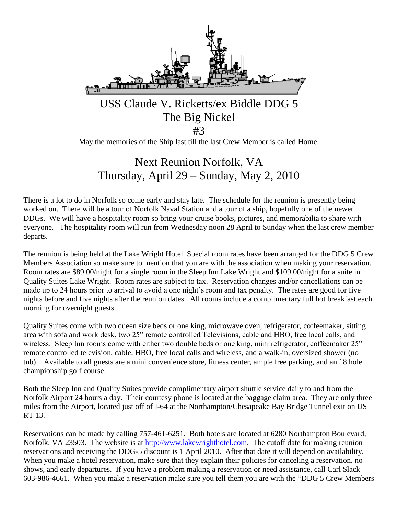

May the memories of the Ship last till the last Crew Member is called Home.

# Next Reunion Norfolk, VA Thursday, April 29 – Sunday, May 2, 2010

There is a lot to do in Norfolk so come early and stay late. The schedule for the reunion is presently being worked on. There will be a tour of Norfolk Naval Station and a tour of a ship, hopefully one of the newer DDGs. We will have a hospitality room so bring your cruise books, pictures, and memorabilia to share with everyone. The hospitality room will run from Wednesday noon 28 April to Sunday when the last crew member departs.

The reunion is being held at the Lake Wright Hotel. Special room rates have been arranged for the DDG 5 Crew Members Association so make sure to mention that you are with the association when making your reservation. Room rates are \$89.00/night for a single room in the Sleep Inn Lake Wright and \$109.00/night for a suite in Quality Suites Lake Wright. Room rates are subject to tax. Reservation changes and/or cancellations can be made up to 24 hours prior to arrival to avoid a one night's room and tax penalty. The rates are good for five nights before and five nights after the reunion dates. All rooms include a complimentary full hot breakfast each morning for overnight guests.

Quality Suites come with two queen size beds or one king, microwave oven, refrigerator, coffeemaker, sitting area with sofa and work desk, two 25" remote controlled Televisions, cable and HBO, free local calls, and wireless. Sleep Inn rooms come with either two double beds or one king, mini refrigerator, coffeemaker 25" remote controlled television, cable, HBO, free local calls and wireless, and a walk-in, oversized shower (no tub). Available to all guests are a mini convenience store, fitness center, ample free parking, and an 18 hole championship golf course.

Both the Sleep Inn and Quality Suites provide complimentary airport shuttle service daily to and from the Norfolk Airport 24 hours a day. Their courtesy phone is located at the baggage claim area. They are only three miles from the Airport, located just off of I-64 at the Northampton/Chesapeake Bay Bridge Tunnel exit on US RT 13.

Reservations can be made by calling 757-461-6251. Both hotels are located at 6280 Northampton Boulevard, Norfolk, VA 23503. The website is at [http://www.lakewrighthotel.com.](http://www.lakewrighthotel.com/) The cutoff date for making reunion reservations and receiving the DDG-5 discount is 1 April 2010. After that date it will depend on availability. When you make a hotel reservation, make sure that they explain their policies for canceling a reservation, no shows, and early departures. If you have a problem making a reservation or need assistance, call Carl Slack 603-986-4661. When you make a reservation make sure you tell them you are with the "DDG 5 Crew Members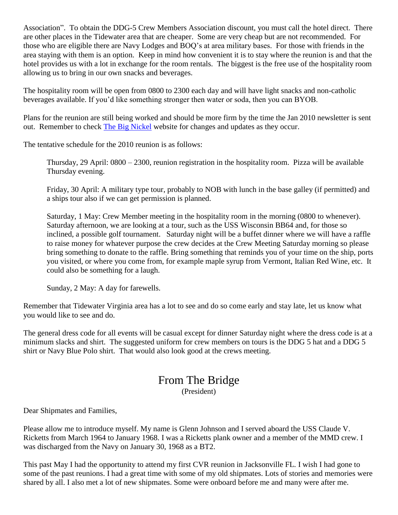Association". To obtain the DDG-5 Crew Members Association discount, you must call the hotel direct. There are other places in the Tidewater area that are cheaper. Some are very cheap but are not recommended. For those who are eligible there are Navy Lodges and BOQ's at area military bases. For those with friends in the area staying with them is an option. Keep in mind how convenient it is to stay where the reunion is and that the hotel provides us with a lot in exchange for the room rentals. The biggest is the free use of the hospitality room allowing us to bring in our own snacks and beverages.

The hospitality room will be open from 0800 to 2300 each day and will have light snacks and non-catholic beverages available. If you'd like something stronger then water or soda, then you can BYOB.

Plans for the reunion are still being worked and should be more firm by the time the Jan 2010 newsletter is sent out. Remember to check [The Big Nickel](http://thebignickel.org/) website for changes and updates as they occur.

The tentative schedule for the 2010 reunion is as follows:

Thursday, 29 April: 0800 – 2300, reunion registration in the hospitality room. Pizza will be available Thursday evening.

Friday, 30 April: A military type tour, probably to NOB with lunch in the base galley (if permitted) and a ships tour also if we can get permission is planned.

Saturday, 1 May: Crew Member meeting in the hospitality room in the morning (0800 to whenever). Saturday afternoon, we are looking at a tour, such as the USS Wisconsin BB64 and, for those so inclined, a possible golf tournament. Saturday night will be a buffet dinner where we will have a raffle to raise money for whatever purpose the crew decides at the Crew Meeting Saturday morning so please bring something to donate to the raffle. Bring something that reminds you of your time on the ship, ports you visited, or where you come from, for example maple syrup from Vermont, Italian Red Wine, etc. It could also be something for a laugh.

Sunday, 2 May: A day for farewells.

Remember that Tidewater Virginia area has a lot to see and do so come early and stay late, let us know what you would like to see and do.

The general dress code for all events will be casual except for dinner Saturday night where the dress code is at a minimum slacks and shirt. The suggested uniform for crew members on tours is the DDG 5 hat and a DDG 5 shirt or Navy Blue Polo shirt. That would also look good at the crews meeting.

### From The Bridge (President)

Dear Shipmates and Families,

Please allow me to introduce myself. My name is Glenn Johnson and I served aboard the USS Claude V. Ricketts from March 1964 to January 1968. I was a Ricketts plank owner and a member of the MMD crew. I was discharged from the Navy on January 30, 1968 as a BT2.

This past May I had the opportunity to attend my first CVR reunion in Jacksonville FL. I wish I had gone to some of the past reunions. I had a great time with some of my old shipmates. Lots of stories and memories were shared by all. I also met a lot of new shipmates. Some were onboard before me and many were after me.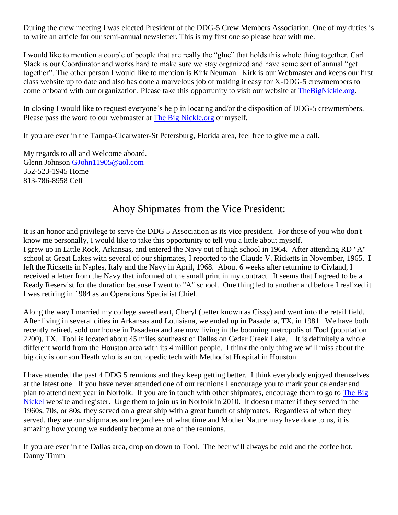During the crew meeting I was elected President of the DDG-5 Crew Members Association. One of my duties is to write an article for our semi-annual newsletter. This is my first one so please bear with me.

I would like to mention a couple of people that are really the "glue" that holds this whole thing together. Carl Slack is our Coordinator and works hard to make sure we stay organized and have some sort of annual "get together". The other person I would like to mention is Kirk Neuman. Kirk is our Webmaster and keeps our first class website up to date and also has done a marvelous job of making it easy for X-DDG-5 crewmembers to come onboard with our organization. Please take this opportunity to visit our website at [TheBigNickle.org.](http://thebignickel.org/)

In closing I would like to request everyone's help in locating and/or the disposition of DDG-5 crewmembers. Please pass the word to our webmaster at The [Big Nickle.org](http://thebignickel.org/) or myself.

If you are ever in the Tampa-Clearwater-St Petersburg, Florida area, feel free to give me a call.

My regards to all and Welcome aboard. Glenn Johnson [GJohn11905@aol.com](mailto:GJohn11905@aol.com) 352-523-1945 Home 813-786-8958 Cell

## Ahoy Shipmates from the Vice President:

It is an honor and privilege to serve the DDG 5 Association as its vice president. For those of you who don't know me personally, I would like to take this opportunity to tell you a little about myself. I grew up in Little Rock, Arkansas, and entered the Navy out of high school in 1964. After attending RD "A" school at Great Lakes with several of our shipmates, I reported to the Claude V. Ricketts in November, 1965. I left the Ricketts in Naples, Italy and the Navy in April, 1968. About 6 weeks after returning to Civland, I received a letter from the Navy that informed of the small print in my contract. It seems that I agreed to be a Ready Reservist for the duration because I went to "A" school. One thing led to another and before I realized it I was retiring in 1984 as an Operations Specialist Chief.

Along the way I married my college sweetheart, Cheryl (better known as Cissy) and went into the retail field. After living in several cities in Arkansas and Louisiana, we ended up in Pasadena, TX, in 1981. We have both recently retired, sold our house in Pasadena and are now living in the booming metropolis of Tool (population 2200), TX. Tool is located about 45 miles southeast of Dallas on Cedar Creek Lake. It is definitely a whole different world from the Houston area with its 4 million people. I think the only thing we will miss about the big city is our son Heath who is an orthopedic tech with Methodist Hospital in Houston.

I have attended the past 4 DDG 5 reunions and they keep getting better. I think everybody enjoyed themselves at the latest one. If you have never attended one of our reunions I encourage you to mark your calendar and plan to attend next year in Norfolk. If you are in touch with other shipmates, encourage them to go to [The Big](http://thebignickel.org/)  [Nickel](http://thebignickel.org/) website and register. Urge them to join us in Norfolk in 2010. It doesn't matter if they served in the 1960s, 70s, or 80s, they served on a great ship with a great bunch of shipmates. Regardless of when they served, they are our shipmates and regardless of what time and Mother Nature may have done to us, it is amazing how young we suddenly become at one of the reunions.

If you are ever in the Dallas area, drop on down to Tool. The beer will always be cold and the coffee hot. Danny Timm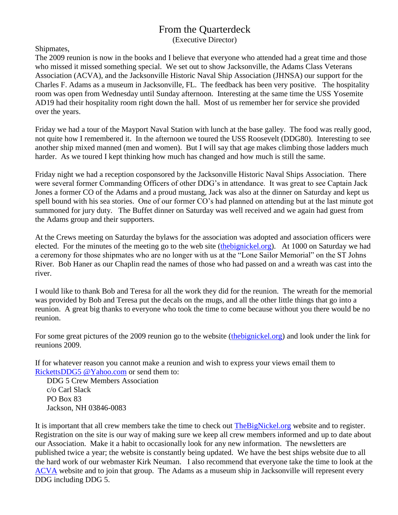## From the Quarterdeck

(Executive Director)

Shipmates,

The 2009 reunion is now in the books and I believe that everyone who attended had a great time and those who missed it missed something special. We set out to show Jacksonville, the Adams Class Veterans Association (ACVA), and the Jacksonville Historic Naval Ship Association (JHNSA) our support for the Charles F. Adams as a museum in Jacksonville, FL. The feedback has been very positive. The hospitality room was open from Wednesday until Sunday afternoon. Interesting at the same time the USS Yosemite AD19 had their hospitality room right down the hall. Most of us remember her for service she provided over the years.

Friday we had a tour of the Mayport Naval Station with lunch at the base galley. The food was really good, not quite how I remembered it. In the afternoon we toured the USS Roosevelt (DDG80). Interesting to see another ship mixed manned (men and women). But I will say that age makes climbing those ladders much harder. As we toured I kept thinking how much has changed and how much is still the same.

Friday night we had a reception cosponsored by the Jacksonville Historic Naval Ships Association. There were several former Commanding Officers of other DDG's in attendance. It was great to see Captain Jack Jones a former CO of the Adams and a proud mustang, Jack was also at the dinner on Saturday and kept us spell bound with his sea stories. One of our former CO's had planned on attending but at the last minute got summoned for jury duty. The Buffet dinner on Saturday was well received and we again had guest from the Adams group and their supporters.

At the Crews meeting on Saturday the bylaws for the association was adopted and association officers were elected. For the minutes of the meeting go to the web site [\(thebignickel.org\)](http://thebignickel.org/). At 1000 on Saturday we had a ceremony for those shipmates who are no longer with us at the "Lone Sailor Memorial" on the ST Johns River. Bob Haner as our Chaplin read the names of those who had passed on and a wreath was cast into the river.

I would like to thank Bob and Teresa for all the work they did for the reunion. The wreath for the memorial was provided by Bob and Teresa put the decals on the mugs, and all the other little things that go into a reunion. A great big thanks to everyone who took the time to come because without you there would be no reunion.

For some great pictures of the 2009 reunion go to the website [\(thebignickel.org\)](http://thebignickel.org/) and look under the link for reunions 2009.

If for whatever reason you cannot make a reunion and wish to express your views email them to [RickettsDDG5](mailto:rickettsddg5@yahoo.com) @Yahoo.com or send them to:

DDG 5 Crew Members Association c/o Carl Slack PO Box 83 Jackson, NH 03846-0083

It is important that all crew members take the time to check out The BigNickel.org website and to register. Registration on the site is our way of making sure we keep all crew members informed and up to date about our Association. Make it a habit to occasionally look for any new information. The newsletters are published twice a year; the website is constantly being updated. We have the best ships website due to all the hard work of our webmaster Kirk Neuman. I also recommend that everyone take the time to look at the [ACVA](http://www.adamsclassddgvets.org/) website and to join that group. The Adams as a museum ship in Jacksonville will represent every DDG including DDG 5.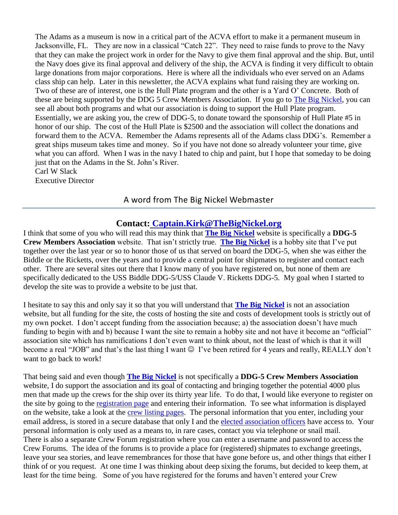The Adams as a museum is now in a critical part of the ACVA effort to make it a permanent museum in Jacksonville, FL. They are now in a classical "Catch 22". They need to raise funds to prove to the Navy that they can make the project work in order for the Navy to give them final approval and the ship. But, until the Navy does give its final approval and delivery of the ship, the ACVA is finding it very difficult to obtain large donations from major corporations. Here is where all the individuals who ever served on an Adams class ship can help. Later in this newsletter, the ACVA explains what fund raising they are working on. Two of these are of interest, one is the Hull Plate program and the other is a Yard O' Concrete. Both of these are being supported by the DDG 5 Crew Members Association. If you go to [The Big Nickel,](http://thebignickel.org/) you can see all about both programs and what our association is doing to support the Hull Plate program. Essentially, we are asking you, the crew of DDG-5, to donate toward the sponsorship of Hull Plate #5 in honor of our ship. The cost of the Hull Plate is \$2500 and the association will collect the donations and forward them to the ACVA. Remember the Adams represents all of the Adams class DDG's. Remember a great ships museum takes time and money. So if you have not done so already volunteer your time, give what you can afford. When I was in the navy I hated to chip and paint, but I hope that someday to be doing just that on the Adams in the St. John's River.

Carl W Slack Executive Director

### A word from The Big Nickel Webmaster

#### **Contact: [Captain.Kirk@TheBigNickel.org](mailto:captain.kirk@thebignickel.org)**

I think that some of you who will read this may think that **[The Big Nickel](http://thebignickel.org/)** website is specifically a **DDG-5 Crew Members Association** website. That isn't strictly true. **[The Big Nickel](http://thebignickel.org/)** is a hobby site that I've put together over the last year or so to honor those of us that served on board the DDG-5, when she was either the Biddle or the Ricketts, over the years and to provide a central point for shipmates to register and contact each other. There are several sites out there that I know many of you have registered on, but none of them are specifically dedicated to the USS Biddle DDG-5/USS Claude V. Ricketts DDG-5. My goal when I started to develop the site was to provide a website to be just that.

I hesitate to say this and only say it so that you will understand that **[The Big Nickel](http://thebignickel.org/)** is not an association website, but all funding for the site, the costs of hosting the site and costs of development tools is strictly out of my own pocket. I don't accept funding from the association because; a) the association doesn't have much funding to begin with and b) because I want the site to remain a hobby site and not have it become an "official" association site which has ramifications I don't even want to think about, not the least of which is that it will become a real "JOB" and that's the last thing I want  $\odot$  I've been retired for 4 years and really, REALLY don't want to go back to work!

That being said and even though **[The Big Nickel](http://thebignickel.org/)** is not specifically a **DDG-5 Crew Members Association** website. I do support the association and its goal of contacting and bringing together the potential 4000 plus men that made up the crews for the ship over its thirty year life. To do that, I would like everyone to register on the site by going to the [registration page](http://thebignickel.org/Registration.html) and entering their information. To see what information is displayed on the website, take a look at the [crew listing pages.](http://thebignickel.org/TheCrew.html) The personal information that you enter, including your email address, is stored in a secure database that only I and the [elected association officers](http://thebignickel.org/Contact.html) have access to. Your personal information is only used as a means to, in rare cases, contact you via telephone or snail mail. There is also a separate Crew Forum registration where you can enter a username and password to access the Crew Forums. The idea of the forums is to provide a place for (registered) shipmates to exchange greetings, leave your sea stories, and leave remembrances for those that have gone before us, and other things that either I think of or you request. At one time I was thinking about deep sixing the forums, but decided to keep them, at least for the time being. Some of you have registered for the forums and haven't entered your Crew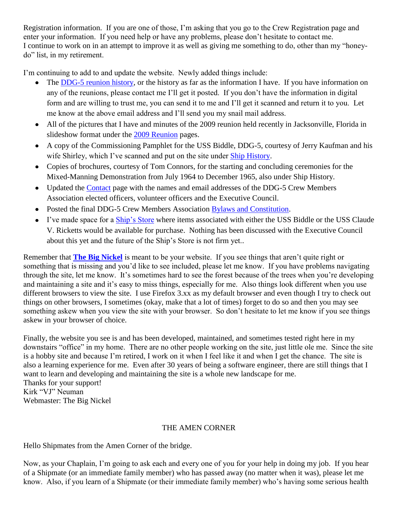Registration information. If you are one of those, I'm asking that you go to the Crew Registration page and enter your information. If you need help or have any problems, please don't hesitate to contact me. I continue to work on in an attempt to improve it as well as giving me something to do, other than my "honeydo" list, in my retirement.

I'm continuing to add to and update the website. Newly added things include:

- The [DDG-5 reunion history,](http://thebignickel.org/DDG-5%20Reunions.html) or the history as far as the information I have. If you have information on any of the reunions, please contact me I'll get it posted. If you don't have the information in digital form and are willing to trust me, you can send it to me and I'll get it scanned and return it to you. Let me know at the above email address and I'll send you my snail mail address.
- All of the pictures that I have and minutes of the 2009 reunion held recently in Jacksonville, Florida in  $\bullet$ slideshow format under the [2009 Reunion](http://thebignickel.org/2009%20Reunion.html) pages.
- A copy of the Commissioning Pamphlet for the USS Biddle, DDG-5, courtesy of Jerry Kaufman and his wife Shirley, which I've scanned and put on the site under [Ship History.](http://thebignickel.org/History.html)
- Copies of brochures, courtesy of Tom Connors, for the starting and concluding ceremonies for the Mixed-Manning Demonstration from July 1964 to December 1965, also under Ship History.
- Updated the [Contact](http://thebignickel.org/Contact.html) page with the names and email addresses of the DDG-5 Crew Members Association elected officers, volunteer officers and the Executive Council.
- Posted the final DDG-5 Crew Members Association [Bylaws and Constitution.](http://thebignickel.org/pdf_files/Bylaws%20and%20Constitution%20(final).pdf)
- I've made space for a [Ship's Store](http://thebignickel.org/ShipsStore.html) where items associated with either the USS Biddle or the USS Claude V. Ricketts would be available for purchase. Nothing has been discussed with the Executive Council about this yet and the future of the Ship's Store is not firm yet..

Remember that **[The Big Nickel](http://thebignickel.org/)** is meant to be your website. If you see things that aren't quite right or something that is missing and you'd like to see included, please let me know. If you have problems navigating through the site, let me know. It's sometimes hard to see the forest because of the trees when you're developing and maintaining a site and it's easy to miss things, especially for me. Also things look different when you use different browsers to view the site. I use Firefox 3.xx as my default browser and even though I try to check out things on other browsers, I sometimes (okay, make that a lot of times) forget to do so and then you may see something askew when you view the site with your browser. So don't hesitate to let me know if you see things askew in your browser of choice.

Finally, the website you see is and has been developed, maintained, and sometimes tested right here in my downstairs "office" in my home. There are no other people working on the site, just little ole me. Since the site is a hobby site and because I'm retired, I work on it when I feel like it and when I get the chance. The site is also a learning experience for me. Even after 30 years of being a software engineer, there are still things that I want to learn and developing and maintaining the site is a whole new landscape for me. Thanks for your support! Kirk "VJ" Neuman Webmaster: The Big Nickel

#### THE AMEN CORNER

Hello Shipmates from the Amen Corner of the bridge.

Now, as your Chaplain, I'm going to ask each and every one of you for your help in doing my job. If you hear of a Shipmate (or an immediate family member) who has passed away (no matter when it was), please let me know. Also, if you learn of a Shipmate (or their immediate family member) who's having some serious health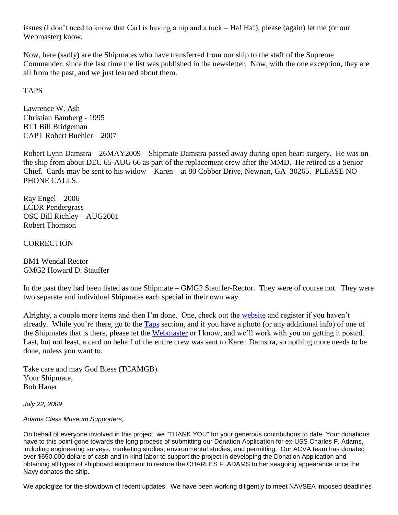issues (I don't need to know that Carl is having a nip and a tuck – Ha! Ha!), please (again) let me (or our Webmaster) know.

Now, here (sadly) are the Shipmates who have transferred from our ship to the staff of the Supreme Commander, since the last time the list was published in the newsletter. Now, with the one exception, they are all from the past, and we just learned about them.

#### TAPS

Lawrence W. Ash Christian Bamberg - 1995 BT1 Bill Bridgeman CAPT Robert Buehler – 2007

Robert Lynn Damstra – 26MAY2009 – Shipmate Damstra passed away during open heart surgery. He was on the ship from about DEC 65-AUG 66 as part of the replacement crew after the MMD. He retired as a Senior Chief. Cards may be sent to his widow – Karen – at 80 Cobber Drive, Newnan, GA 30265. PLEASE NO PHONE CALLS.

 $Ray Engel - 2006$ LCDR Pendergrass OSC Bill Richley – AUG2001 Robert Thomson

**CORRECTION** 

BM1 Wendal Rector GMG2 Howard D. Stauffer

In the past they had been listed as one Shipmate – GMG2 Stauffer-Rector. They were of course not. They were two separate and individual Shipmates each special in their own way.

Alrighty, a couple more items and then I'm done. One, check out the [website](http://thebignickel.org/) and register if you haven't already. While you're there, go to the [Taps](http://thebignickel.org/taps.html) section, and if you have a photo (or any additional info) of one of the Shipmates that is there, please let the [Webmaster](mailto:captain.kirk@thebignickel.org) or I know, and we'll work with you on getting it posted. Last, but not least, a card on behalf of the entire crew was sent to Karen Damstra, so nothing more needs to be done, unless you want to.

Take care and may God Bless (TCAMGB). Your Shipmate, Bob Haner

*July 22, 2009*

#### *Adams Class Museum Supporters,*

On behalf of everyone involved in this project, we "THANK YOU" for your generous contributions to date. Your donations have to this point gone towards the long process of submitting our Donation Application for ex-USS Charles F. Adams, including engineering surveys, marketing studies, environmental studies, and permitting. Our ACVA team has donated over \$650,000 dollars of cash and in-kind labor to support the project in developing the Donation Application and obtaining all types of shipboard equipment to restore the CHARLES F. ADAMS to her seagoing appearance once the Navy donates the ship.

We apologize for the slowdown of recent updates. We have been working diligently to meet NAVSEA imposed deadlines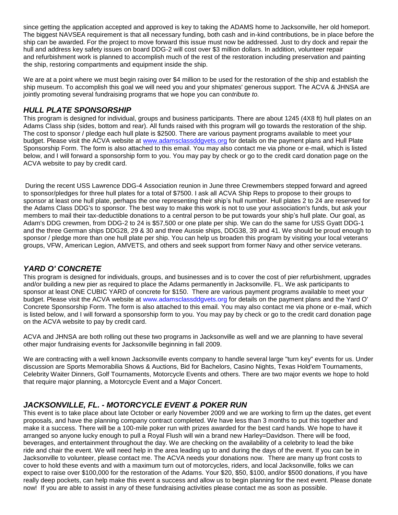since getting the application accepted and approved is key to taking the ADAMS home to Jacksonville, her old homeport. The biggest NAVSEA requirement is that all necessary funding, both cash and in-kind contributions, be in place before the ship can be awarded. For the project to move forward this issue must now be addressed. Just to dry dock and repair the hull and address key safety issues on board DDG-2 will cost over \$3 million dollars. In addition, volunteer repair and refurbishment work is planned to accomplish much of the rest of the restoration including preservation and painting the ship, restoring compartments and equipment inside the ship.

We are at a point where we must begin raising over \$4 million to be used for the restoration of the ship and establish the ship museum. To accomplish this goal we will need you and your shipmates' generous support. The ACVA & JHNSA are jointly promoting several fundraising programs that we hope you can con*tribute to.* 

#### *HULL PLATE SPONSORSHIP*

This program is designed for individual, groups and business participants. There are about 1245 (4X8 ft) hull plates on an Adams Class ship (sides, bottom and rear). All funds raised with this program will go towards the restoration of the ship. The cost to sponsor / pledge each hull plate is \$2500. There are various payment programs available to meet your budget. Please visit the ACVA website at [www.adamsclassddgvets.org](http://www.adamsclassddgvets.org/) for details on the payment plans and Hull Plate Sponsorship Form. The form is also attached to this email. You may also contact me via phone or e-mail, which is listed below, and I will forward a sponsorship form to you. You may pay by check or go to the credit card donation page on the ACVA website to pay by credit card.

During the recent USS Lawrence DDG-4 Association reunion in June three Crewmembers stepped forward and agreed to sponsor/pledges for three hull plates for a total of \$7500. I ask all ACVA Ship Reps to propose to their groups to sponsor at least one hull plate, perhaps the one representing their ship's hull number. Hull plates 2 to 24 are reserved for the Adams Class DDG's to sponsor. The best way to make this work is not to use your association's funds, but ask your members to mail their tax-deductible donations to a central person to be put towards your ship's hull plate. Our goal, as Adam's DDG crewmen, from DDG-2 to 24 is \$57,500 or one plate per ship. We can do the same for USS Gyatt DDG-1 and the three German ships DDG28, 29 & 30 and three Aussie ships, DDG38, 39 and 41. We should be proud enough to sponsor / pledge more than one hull plate per ship. You can help us broaden this program by visiting your local veterans groups, VFW, American Legion, AMVETS, and others and seek support from former Navy and other service veterans.

#### *YARD O' CONCRETE*

This program is designed for individuals, groups, and businesses and is to cover the cost of pier refurbishment, upgrades and/or building a new pier as required to place the Adams permanently in Jacksonville. FL. We ask participants to sponsor at least ONE CUBIC YARD of concrete for \$150. There are various payment programs available to meet your budget. Please visit the ACVA website at www.adamsclassddgvets.org for details on the payment plans and the Yard O' Concrete Sponsorship Form. The form is also attached to this email. You may also contact me via phone or e-mail, which is listed below, and I will forward a sponsorship form to you. You may pay by check or go to the credit card donation page on the ACVA website to pay by credit card.

ACVA and JHNSA are both rolling out these two programs in Jacksonville as well and we are planning to have several other major fundraising events for Jacksonville beginning in fall 2009.

We are contracting with a well known Jacksonville events company to handle several large "turn key" events for us. Under discussion are Sports Memorabilia Shows & Auctions, Bid for Bachelors, Casino Nights, Texas Hold'em Tournaments, Celebrity Waiter Dinners, Golf Tournaments, Motorcycle Events and others. There are two major events we hope to hold that require major planning, a Motorcycle Event and a Major Concert.

### *JACKSONVILLE, FL. - MOTORCYCLE EVENT & POKER RUN*

This event is to take place about late October or early November 2009 and we are working to firm up the dates, get event proposals, and have the planning company contract completed. We have less than 3 months to put this together and make it a success. There will be a 100-mile poker run with prizes awarded for the best card hands. We hope to have it arranged so anyone lucky enough to pull a Royal Flush will win a brand new Harley=Davidson. There will be food, beverages, and entertainment throughout the day. We are checking on the availability of a celebrity to lead the bike ride and chair the event. We will need help in the area leading up to and during the days of the event. If you can be in Jacksonville to volunteer, please contact me. The ACVA needs your donations now. There are many up front costs to cover to hold these events and with a maximum turn out of motorcycles, riders, and local Jacksonville, folks we can expect to raise over \$100,000 for the restoration of the Adams. Your \$20, \$50, \$100, and/or \$500 donations, if you have really deep pockets, can help make this event a success and allow us to begin planning for the next event. Please donate now! If you are able to assist in any of these fundraising activities please contact me as soon as possible.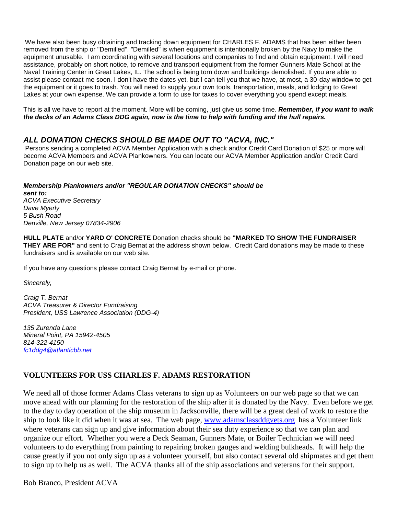We have also been busy obtaining and tracking down equipment for CHARLES F. ADAMS that has been either been removed from the ship or "Demilled". "Demilled" is when equipment is intentionally broken by the Navy to make the equipment unusable. I am coordinating with several locations and companies to find and obtain equipment. I will need assistance, probably on short notice, to remove and transport equipment from the former Gunners Mate School at the Naval Training Center in Great Lakes, IL. The school is being torn down and buildings demolished. If you are able to assist please contact me soon. I don't have the dates yet, but I can tell you that we have, at most, a 30-day window to get the equipment or it goes to trash. You will need to supply your own tools, transportation, meals, and lodging to Great Lakes at your own expense. We can provide a form to use for taxes to cover everything you spend except meals.

This is all we have to report at the moment. More will be coming, just give us some time. *Remember, if you want to walk the decks of an Adams Class DDG again, now is the time to help with funding and the hull repairs.* 

#### *ALL DONATION CHECKS SHOULD BE MADE OUT TO "ACVA, INC."*

Persons sending a completed ACVA Member Application with a check and/or Credit Card Donation of \$25 or more will become ACVA Members and ACVA Plankowners. You can locate our ACVA Member Application and/or Credit Card Donation page on our web site.

#### *Membership Plankowners and/or "REGULAR DONATION CHECKS" should be sent to: ACVA Executive Secretary Dave Myerly*

*5 Bush Road Denville, New Jersey 07834-2906*

**HULL PLATE** and/or **YARD O' CONCRETE** Donation checks should be **"MARKED TO SHOW THE FUNDRAISER THEY ARE FOR"** and sent to Craig Bernat at the address shown below. Credit Card donations may be made to these fundraisers and is available on our web site.

If you have any questions please contact Craig Bernat by e-mail or phone.

*Sincerely,*

*Craig T. Bernat ACVA Treasurer & Director Fundraising President, USS Lawrence Association (DDG-4)* 

*135 Zurenda Lane Mineral Point, PA 15942-4505 814-322-4150 fc1ddg4@atlanticbb.net*

#### **VOLUNTEERS FOR USS CHARLES F. ADAMS RESTORATION**

We need all of those former Adams Class veterans to sign up as Volunteers on our web page so that we can move ahead with our planning for the restoration of the ship after it is donated by the Navy. Even before we get to the day to day operation of the ship museum in Jacksonville, there will be a great deal of work to restore the ship to look like it did when it was at sea. The web page, [www.adamsclassddgvets.org](http://www.adamsclassddgvets.org/) has a Volunteer link where veterans can sign up and give information about their sea duty experience so that we can plan and organize our effort. Whether you were a Deck Seaman, Gunners Mate, or Boiler Technician we will need volunteers to do everything from painting to repairing broken gauges and welding bulkheads. It will help the cause greatly if you not only sign up as a volunteer yourself, but also contact several old shipmates and get them to sign up to help us as well. The ACVA thanks all of the ship associations and veterans for their support.

Bob Branco, President ACVA